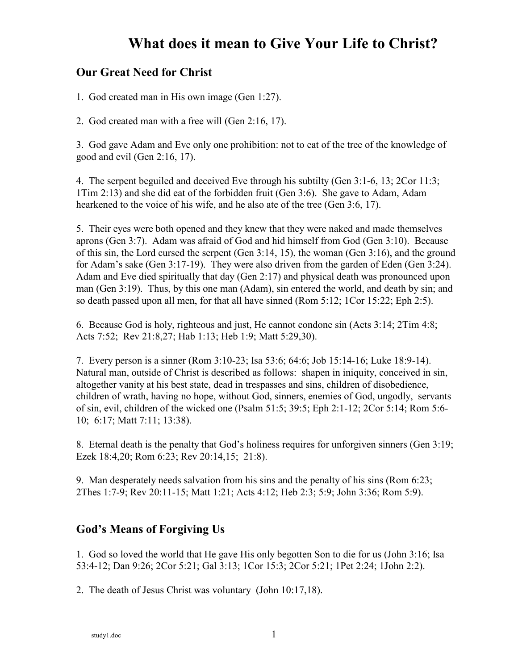#### **Our Great Need for Christ**

1. God created man in His own image (Gen 1:27).

2. God created man with a free will (Gen 2:16, 17).

3. God gave Adam and Eve only one prohibition: not to eat of the tree of the knowledge of good and evil (Gen 2:16, 17).

4. The serpent beguiled and deceived Eve through his subtilty (Gen 3:1-6, 13; 2Cor 11:3; 1Tim 2:13) and she did eat of the forbidden fruit (Gen 3:6). She gave to Adam, Adam hearkened to the voice of his wife, and he also ate of the tree (Gen 3:6, 17).

5. Their eyes were both opened and they knew that they were naked and made themselves aprons (Gen 3:7). Adam was afraid of God and hid himself from God (Gen 3:10). Because of this sin, the Lord cursed the serpent (Gen 3:14, 15), the woman (Gen 3:16), and the ground for Adam's sake (Gen 3:17-19). They were also driven from the garden of Eden (Gen 3:24). Adam and Eve died spiritually that day (Gen 2:17) and physical death was pronounced upon man (Gen 3:19). Thus, by this one man (Adam), sin entered the world, and death by sin; and so death passed upon all men, for that all have sinned (Rom 5:12; 1Cor 15:22; Eph 2:5).

6. Because God is holy, righteous and just, He cannot condone sin (Acts 3:14; 2Tim 4:8; Acts 7:52; Rev 21:8,27; Hab 1:13; Heb 1:9; Matt 5:29,30).

7. Every person is a sinner (Rom 3:10-23; Isa 53:6; 64:6; Job 15:14-16; Luke 18:9-14). Natural man, outside of Christ is described as follows: shapen in iniquity, conceived in sin, altogether vanity at his best state, dead in trespasses and sins, children of disobedience, children of wrath, having no hope, without God, sinners, enemies of God, ungodly, servants of sin, evil, children of the wicked one (Psalm 51:5; 39:5; Eph 2:1-12; 2Cor 5:14; Rom 5:6- 10; 6:17; Matt 7:11; 13:38).

8. Eternal death is the penalty that God's holiness requires for unforgiven sinners (Gen 3:19; Ezek 18:4,20; Rom 6:23; Rev 20:14,15; 21:8).

9. Man desperately needs salvation from his sins and the penalty of his sins (Rom 6:23; 2Thes 1:7-9; Rev 20:11-15; Matt 1:21; Acts 4:12; Heb 2:3; 5:9; John 3:36; Rom 5:9).

### **God's Means of Forgiving Us**

1. God so loved the world that He gave His only begotten Son to die for us (John 3:16; Isa 53:4-12; Dan 9:26; 2Cor 5:21; Gal 3:13; 1Cor 15:3; 2Cor 5:21; 1Pet 2:24; 1John 2:2).

2. The death of Jesus Christ was voluntary (John 10:17,18).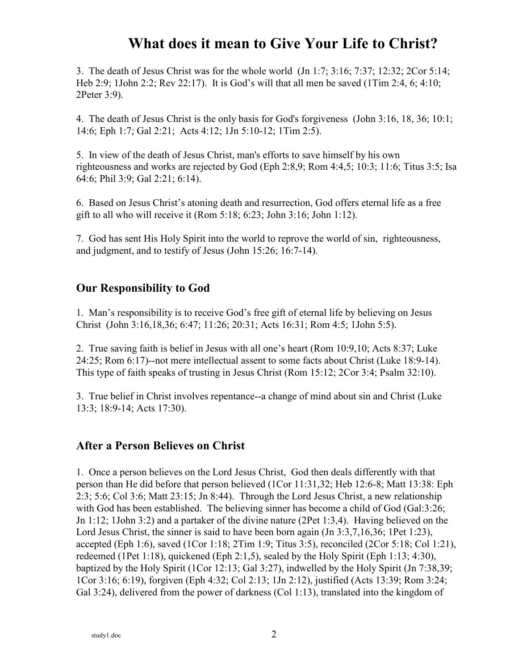3. The death of Jesus Christ was for the whole world (Jn 1:7; 3:16; 7:37; 12:32; 2Cor 5:14; Heb 2:9; 1John 2:2; Rev 22:17). It is God's will that all men be saved (1Tim 2:4, 6; 4:10; 2Peter 3:9).

4. The death of Jesus Christ is the only basis for God's forgiveness (John 3:16, 18, 36; 10:1; 14:6; Eph 1:7; Gal 2:21; Acts 4:12; 1Jn 5:10-12; 1Tim 2:5).

5. In view of the death of Jesus Christ, man's efforts to save himself by his own righteousness and works are rejected by God (Eph 2:8,9; Rom 4:4,5; 10:3; 11:6; Titus 3:5; Isa 64:6; Phil 3:9; Gal 2:21; 6:14).

6. Based on Jesus Christ's atoning death and resurrection, God offers eternal life as a free gift to all who will receive it (Rom 5:18; 6:23; John 3:16; John 1:12).

7. God has sent His Holy Spirit into the world to reprove the world of sin, righteousness, and judgment, and to testify of Jesus (John 15:26; 16:7-14).

### **Our Responsibility to God**

1. Man's responsibility is to receive God's free gift of eternal life by believing on Jesus Christ (John 3:16,18,36; 6:47; 11:26; 20:31; Acts 16:31; Rom 4:5; 1John 5:5).

2. True saving faith is belief in Jesus with all one's heart (Rom 10:9,10; Acts 8:37; Luke 24:25; Rom 6:17)--not mere intellectual assent to some facts about Christ (Luke 18:9-14). This type of faith speaks of trusting in Jesus Christ (Rom 15:12; 2Cor 3:4; Psalm 32:10).

3. True belief in Christ involves repentance--a change of mind about sin and Christ (Luke 13:3; 18:9-14; Acts 17:30).

### **After a Person Believes on Christ**

1. Once a person believes on the Lord Jesus Christ, God then deals differently with that person than He did before that person believed (1Cor 11:31,32; Heb 12:6-8; Matt 13:38: Eph 2:3; 5:6; Col 3:6; Matt 23:15; Jn 8:44). Through the Lord Jesus Christ, a new relationship with God has been established. The believing sinner has become a child of God (Gal:3:26; Jn 1:12; 1John 3:2) and a partaker of the divine nature (2Pet 1:3,4). Having believed on the Lord Jesus Christ, the sinner is said to have been born again  $($ Jn 3:3,7,16,36; 1Pet 1:23), accepted (Eph 1:6), saved (1Cor 1:18;  $2Tim 1:9$ ; Titus 3:5), reconciled ( $2Cor 5:18$ ; Col 1:21), redeemed (1Pet 1:18), quickened (Eph 2:1,5), sealed by the Holy Spirit (Eph 1:13; 4:30), baptized by the Holy Spirit (1Cor 12:13; Gal 3:27), indwelled by the Holy Spirit (Jn 7:38,39; 1Cor 3:16; 6:19), forgiven (Eph 4:32; Col 2:13; 1Jn 2:12), justified (Acts 13:39; Rom 3:24; Gal 3:24), delivered from the power of darkness (Col 1:13), translated into the kingdom of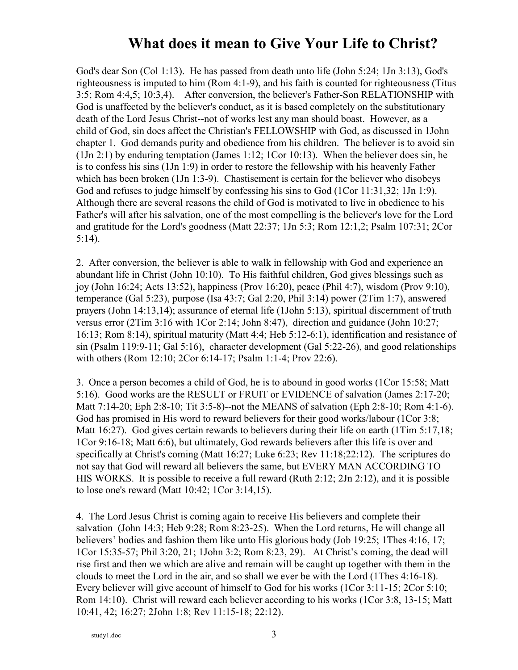God's dear Son (Col 1:13). He has passed from death unto life (John 5:24; 1Jn 3:13), God's righteousness is imputed to him (Rom 4:1-9), and his faith is counted for righteousness (Titus 3:5; Rom 4:4,5; 10:3,4). After conversion, the believer's Father-Son RELATIONSHIP with God is unaffected by the believer's conduct, as it is based completely on the substitutionary death of the Lord Jesus Christ--not of works lest any man should boast. However, as a child of God, sin does affect the Christian's FELLOWSHIP with God, as discussed in 1John chapter 1. God demands purity and obedience from his children. The believer is to avoid sin (1Jn 2:1) by enduring temptation (James 1:12; 1Cor 10:13). When the believer does sin, he is to confess his sins (1Jn 1:9) in order to restore the fellowship with his heavenly Father which has been broken (1Jn 1:3-9). Chastisement is certain for the believer who disobeys God and refuses to judge himself by confessing his sins to God (1Cor 11:31,32; 1Jn 1:9). Although there are several reasons the child of God is motivated to live in obedience to his Father's will after his salvation, one of the most compelling is the believer's love for the Lord and gratitude for the Lord's goodness (Matt 22:37; 1Jn 5:3; Rom 12:1,2; Psalm 107:31; 2Cor 5:14).

2. After conversion, the believer is able to walk in fellowship with God and experience an abundant life in Christ (John 10:10). To His faithful children, God gives blessings such as joy (John 16:24; Acts 13:52), happiness (Prov 16:20), peace (Phil 4:7), wisdom (Prov 9:10), temperance (Gal 5:23), purpose (Isa 43:7; Gal 2:20, Phil 3:14) power (2Tim 1:7), answered prayers (John 14:13,14); assurance of eternal life (1John 5:13), spiritual discernment of truth versus error (2Tim 3:16 with 1Cor 2:14; John 8:47), direction and guidance (John 10:27; 16:13; Rom 8:14), spiritual maturity (Matt 4:4; Heb 5:12-6:1), identification and resistance of sin (Psalm 119:9-11; Gal 5:16), character development (Gal 5:22-26), and good relationships with others (Rom 12:10; 2Cor 6:14-17; Psalm 1:1-4; Prov 22:6).

3. Once a person becomes a child of God, he is to abound in good works (1Cor 15:58; Matt 5:16). Good works are the RESULT or FRUIT or EVIDENCE of salvation (James 2:17-20; Matt 7:14-20; Eph 2:8-10; Tit 3:5-8)--not the MEANS of salvation (Eph 2:8-10; Rom 4:1-6). God has promised in His word to reward believers for their good works/labour (1Cor 3:8; Matt 16:27). God gives certain rewards to believers during their life on earth (1Tim 5:17,18; 1Cor 9:16-18; Matt 6:6), but ultimately, God rewards believers after this life is over and specifically at Christ's coming (Matt 16:27; Luke 6:23; Rev 11:18;22:12). The scriptures do not say that God will reward all believers the same, but EVERY MAN ACCORDING TO HIS WORKS. It is possible to receive a full reward (Ruth 2:12; 2Jn 2:12), and it is possible to lose one's reward (Matt 10:42; 1Cor 3:14,15).

4. The Lord Jesus Christ is coming again to receive His believers and complete their salvation (John 14:3; Heb 9:28; Rom 8:23-25). When the Lord returns, He will change all believers' bodies and fashion them like unto His glorious body (Job 19:25; 1Thes 4:16, 17; 1Cor 15:35-57; Phil 3:20, 21; 1John 3:2; Rom 8:23, 29). At Christ's coming, the dead will rise first and then we which are alive and remain will be caught up together with them in the clouds to meet the Lord in the air, and so shall we ever be with the Lord (1Thes 4:16-18). Every believer will give account of himself to God for his works (1Cor 3:11-15; 2Cor 5:10; Rom 14:10). Christ will reward each believer according to his works (1Cor 3:8, 13-15; Matt 10:41, 42; 16:27; 2John 1:8; Rev 11:15-18; 22:12).